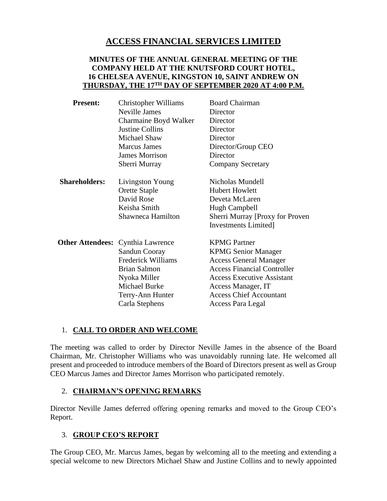# **ACCESS FINANCIAL SERVICES LIMITED**

#### **MINUTES OF THE ANNUAL GENERAL MEETING OF THE COMPANY HELD AT THE KNUTSFORD COURT HOTEL, 16 CHELSEA AVENUE, KINGSTON 10, SAINT ANDREW ON THURSDAY, THE 17TH DAY OF SEPTEMBER 2020 AT 4:00 P.M.**

| <b>Present:</b>      | <b>Christopher Williams</b>              | <b>Board Chairman</b>              |
|----------------------|------------------------------------------|------------------------------------|
|                      | Neville James                            | Director                           |
|                      | Charmaine Boyd Walker                    | Director                           |
|                      | <b>Justine Collins</b>                   | Director                           |
|                      | Michael Shaw                             | Director                           |
|                      | <b>Marcus James</b>                      | Director/Group CEO                 |
|                      | <b>James Morrison</b>                    | Director                           |
|                      | Sherri Murray                            | <b>Company Secretary</b>           |
| <b>Shareholders:</b> | Livingston Young                         | Nicholas Mundell                   |
|                      | Orette Staple                            | <b>Hubert Howlett</b>              |
|                      | David Rose                               | Deveta McLaren                     |
|                      | Keisha Smith                             | Hugh Campbell                      |
|                      | Shawneca Hamilton                        | Sherri Murray [Proxy for Proven]   |
|                      |                                          | Investments Limited]               |
|                      | <b>Other Attendees:</b> Cynthia Lawrence | <b>KPMG</b> Partner                |
|                      | Sandun Cooray                            | <b>KPMG Senior Manager</b>         |
|                      | <b>Frederick Williams</b>                | <b>Access General Manager</b>      |
|                      | <b>Brian Salmon</b>                      | <b>Access Financial Controller</b> |
|                      | Nyoka Miller                             | <b>Access Executive Assistant</b>  |
|                      | <b>Michael Burke</b>                     | Access Manager, IT                 |
|                      | Terry-Ann Hunter                         | <b>Access Chief Accountant</b>     |
|                      | Carla Stephens                           | Access Para Legal                  |

#### 1. **CALL TO ORDER AND WELCOME**

The meeting was called to order by Director Neville James in the absence of the Board Chairman, Mr. Christopher Williams who was unavoidably running late. He welcomed all present and proceeded to introduce members of the Board of Directors present as well as Group CEO Marcus James and Director James Morrison who participated remotely.

## 2. **CHAIRMAN'S OPENING REMARKS**

Director Neville James deferred offering opening remarks and moved to the Group CEO's Report.

## 3. **GROUP CEO'S REPORT**

The Group CEO, Mr. Marcus James, began by welcoming all to the meeting and extending a special welcome to new Directors Michael Shaw and Justine Collins and to newly appointed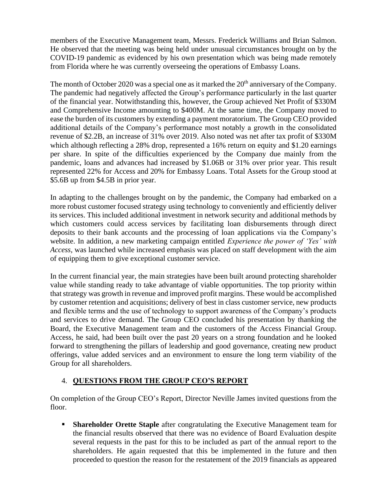members of the Executive Management team, Messrs. Frederick Williams and Brian Salmon. He observed that the meeting was being held under unusual circumstances brought on by the COVID-19 pandemic as evidenced by his own presentation which was being made remotely from Florida where he was currently overseeing the operations of Embassy Loans.

The month of October 2020 was a special one as it marked the 20<sup>th</sup> anniversary of the Company. The pandemic had negatively affected the Group's performance particularly in the last quarter of the financial year. Notwithstanding this, however, the Group achieved Net Profit of \$330M and Comprehensive Income amounting to \$400M. At the same time, the Company moved to ease the burden of its customers by extending a payment moratorium. The Group CEO provided additional details of the Company's performance most notably a growth in the consolidated revenue of \$2.2B, an increase of 31% over 2019. Also noted was net after tax profit of \$330M which although reflecting a 28% drop, represented a 16% return on equity and \$1.20 earnings per share. In spite of the difficulties experienced by the Company due mainly from the pandemic, loans and advances had increased by \$1.06B or 31% over prior year. This result represented 22% for Access and 20% for Embassy Loans. Total Assets for the Group stood at \$5.6B up from \$4.5B in prior year.

In adapting to the challenges brought on by the pandemic, the Company had embarked on a more robust customer focused strategy using technology to conveniently and efficiently deliver its services. This included additional investment in network security and additional methods by which customers could access services by facilitating loan disbursements through direct deposits to their bank accounts and the processing of loan applications via the Company's website. In addition, a new marketing campaign entitled *Experience the power of 'Yes' with Access,* was launched while increased emphasis was placed on staff development with the aim of equipping them to give exceptional customer service.

In the current financial year, the main strategies have been built around protecting shareholder value while standing ready to take advantage of viable opportunities. The top priority within that strategy was growth in revenue and improved profit margins. These would be accomplished by customer retention and acquisitions; delivery of best in class customer service, new products and flexible terms and the use of technology to support awareness of the Company's products and services to drive demand. The Group CEO concluded his presentation by thanking the Board, the Executive Management team and the customers of the Access Financial Group. Access, he said, had been built over the past 20 years on a strong foundation and he looked forward to strengthening the pillars of leadership and good governance, creating new product offerings, value added services and an environment to ensure the long term viability of the Group for all shareholders.

## 4. **QUESTIONS FROM THE GROUP CEO'S REPORT**

On completion of the Group CEO's Report, Director Neville James invited questions from the floor.

**Executive Shareholder Orette Staple** after congratulating the Executive Management team for the financial results observed that there was no evidence of Board Evaluation despite several requests in the past for this to be included as part of the annual report to the shareholders. He again requested that this be implemented in the future and then proceeded to question the reason for the restatement of the 2019 financials as appeared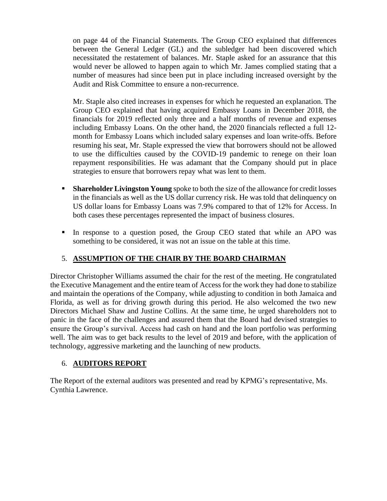on page 44 of the Financial Statements. The Group CEO explained that differences between the General Ledger (GL) and the subledger had been discovered which necessitated the restatement of balances. Mr. Staple asked for an assurance that this would never be allowed to happen again to which Mr. James complied stating that a number of measures had since been put in place including increased oversight by the Audit and Risk Committee to ensure a non-recurrence.

Mr. Staple also cited increases in expenses for which he requested an explanation. The Group CEO explained that having acquired Embassy Loans in December 2018, the financials for 2019 reflected only three and a half months of revenue and expenses including Embassy Loans. On the other hand, the 2020 financials reflected a full 12 month for Embassy Loans which included salary expenses and loan write-offs. Before resuming his seat, Mr. Staple expressed the view that borrowers should not be allowed to use the difficulties caused by the COVID-19 pandemic to renege on their loan repayment responsibilities. He was adamant that the Company should put in place strategies to ensure that borrowers repay what was lent to them.

- **Shareholder Livingston Young** spoke to both the size of the allowance for credit losses in the financials as well as the US dollar currency risk. He was told that delinquency on US dollar loans for Embassy Loans was 7.9% compared to that of 12% for Access. In both cases these percentages represented the impact of business closures.
- In response to a question posed, the Group CEO stated that while an APO was something to be considered, it was not an issue on the table at this time.

## 5. **ASSUMPTION OF THE CHAIR BY THE BOARD CHAIRMAN**

Director Christopher Williams assumed the chair for the rest of the meeting. He congratulated the Executive Management and the entire team of Access for the work they had done to stabilize and maintain the operations of the Company, while adjusting to condition in both Jamaica and Florida, as well as for driving growth during this period. He also welcomed the two new Directors Michael Shaw and Justine Collins. At the same time, he urged shareholders not to panic in the face of the challenges and assured them that the Board had devised strategies to ensure the Group's survival. Access had cash on hand and the loan portfolio was performing well. The aim was to get back results to the level of 2019 and before, with the application of technology, aggressive marketing and the launching of new products.

#### 6. **AUDITORS REPORT**

The Report of the external auditors was presented and read by KPMG's representative, Ms. Cynthia Lawrence.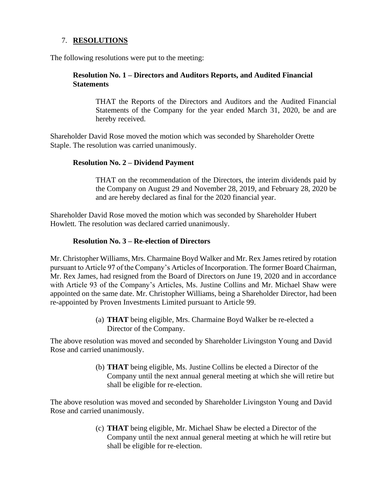#### 7. **RESOLUTIONS**

The following resolutions were put to the meeting:

#### **Resolution No. 1 – Directors and Auditors Reports, and Audited Financial Statements**

THAT the Reports of the Directors and Auditors and the Audited Financial Statements of the Company for the year ended March 31, 2020, be and are hereby received.

Shareholder David Rose moved the motion which was seconded by Shareholder Orette Staple. The resolution was carried unanimously.

#### **Resolution No. 2 – Dividend Payment**

THAT on the recommendation of the Directors, the interim dividends paid by the Company on August 29 and November 28, 2019, and February 28, 2020 be and are hereby declared as final for the 2020 financial year.

Shareholder David Rose moved the motion which was seconded by Shareholder Hubert Howlett. The resolution was declared carried unanimously.

#### **Resolution No. 3 – Re-election of Directors**

Mr. Christopher Williams, Mrs. Charmaine Boyd Walker and Mr. Rex James retired by rotation pursuant to Article 97 of the Company's Articles of Incorporation. The former Board Chairman, Mr. Rex James, had resigned from the Board of Directors on June 19, 2020 and in accordance with Article 93 of the Company's Articles, Ms. Justine Collins and Mr. Michael Shaw were appointed on the same date. Mr. Christopher Williams, being a Shareholder Director, had been re-appointed by Proven Investments Limited pursuant to Article 99.

> (a) **THAT** being eligible, Mrs. Charmaine Boyd Walker be re-elected a Director of the Company.

The above resolution was moved and seconded by Shareholder Livingston Young and David Rose and carried unanimously.

> (b) **THAT** being eligible, Ms. Justine Collins be elected a Director of the Company until the next annual general meeting at which she will retire but shall be eligible for re-election.

The above resolution was moved and seconded by Shareholder Livingston Young and David Rose and carried unanimously.

> (c) **THAT** being eligible, Mr. Michael Shaw be elected a Director of the Company until the next annual general meeting at which he will retire but shall be eligible for re-election.